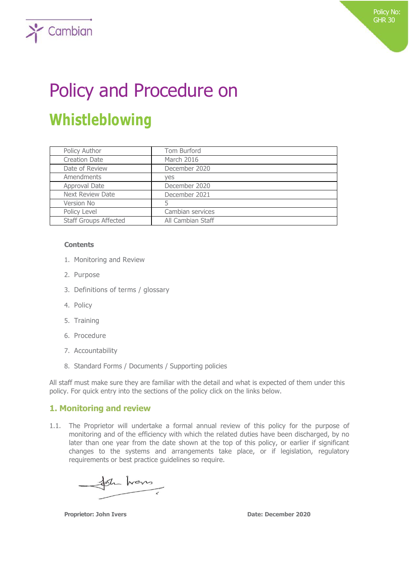# Policy and Procedure on **Whistleblowing**

| Policy Author                | Tom Burford       |
|------------------------------|-------------------|
| <b>Creation Date</b>         | March 2016        |
| Date of Review               | December 2020     |
| Amendments                   | yes               |
| Approval Date                | December 2020     |
| <b>Next Review Date</b>      | December 2021     |
| Version No                   |                   |
| Policy Level                 | Cambian services  |
| <b>Staff Groups Affected</b> | All Cambian Staff |

#### **Contents**

 $\sum$  Cambian

- 1. Monitoring and Review
- 2. Purpose
- 3. Definitions of terms / glossary
- 4. Policy
- 5. Training
- 6. Procedure
- 7. Accountability
- 8. Standard Forms / Documents / Supporting policies

All staff must make sure they are familiar with the detail and what is expected of them under this policy. For quick entry into the sections of the policy click on the links below.

## **1. Monitoring and review**

1.1. The Proprietor will undertake a formal annual review of this policy for the purpose of monitoring and of the efficiency with which the related duties have been discharged, by no later than one year from the date shown at the top of this policy, or earlier if significant changes to the systems and arrangements take place, or if legislation, regulatory requirements or best practice guidelines so require.

for hans

**Proprietor: John Ivers Date: December 2020**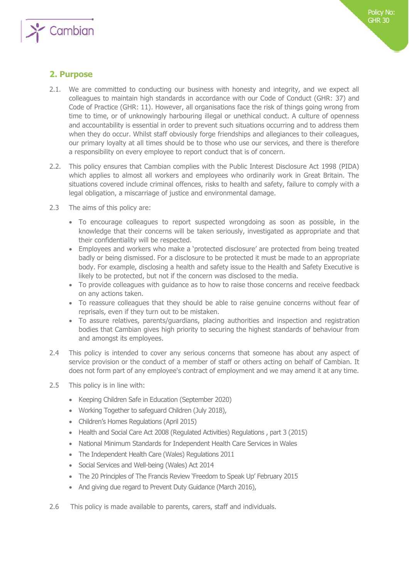

## **2. Purpose**

- 2.1. We are committed to conducting our business with honesty and integrity, and we expect all colleagues to maintain high standards in accordance with our Code of Conduct (GHR: 37) and Code of Practice (GHR: 11). However, all organisations face the risk of things going wrong from time to time, or of unknowingly harbouring illegal or unethical conduct. A culture of openness and accountability is essential in order to prevent such situations occurring and to address them when they do occur. Whilst staff obviously forge friendships and allegiances to their colleagues, our primary loyalty at all times should be to those who use our services, and there is therefore a responsibility on every employee to report conduct that is of concern.
- 2.2. This policy ensures that Cambian complies with the Public Interest Disclosure Act 1998 (PIDA) which applies to almost all workers and employees who ordinarily work in Great Britain. The situations covered include criminal offences, risks to health and safety, failure to comply with a legal obligation, a miscarriage of justice and environmental damage.
- 2.3 The aims of this policy are:
	- To encourage colleagues to report suspected wrongdoing as soon as possible, in the knowledge that their concerns will be taken seriously, investigated as appropriate and that their confidentiality will be respected.
	- Employees and workers who make a 'protected disclosure' are protected from being treated badly or being dismissed. For a disclosure to be protected it must be made to an appropriate body. For example, disclosing a health and safety issue to the Health and Safety Executive is likely to be protected, but not if the concern was disclosed to the media.
	- To provide colleagues with guidance as to how to raise those concerns and receive feedback on any actions taken.
	- To reassure colleagues that they should be able to raise genuine concerns without fear of reprisals, even if they turn out to be mistaken.
	- To assure relatives, parents/guardians, placing authorities and inspection and registration bodies that Cambian gives high priority to securing the highest standards of behaviour from and amongst its employees.
- 2.4 This policy is intended to cover any serious concerns that someone has about any aspect of service provision or the conduct of a member of staff or others acting on behalf of Cambian. It does not form part of any employee's contract of employment and we may amend it at any time.
- 2.5 This policy is in line with:
	- Keeping Children Safe in Education (September 2020)
	- Working Together to safeguard Children (July 2018),
	- Children's Homes Regulations (April 2015)
	- Health and Social Care Act 2008 (Regulated Activities) Regulations , part 3 (2015)
	- National Minimum Standards for Independent Health Care Services in Wales
	- The Independent Health Care (Wales) Regulations 2011
	- Social Services and Well-being (Wales) Act 2014
	- The 20 Principles of The Francis Review 'Freedom to Speak Up' February 2015
	- And giving due regard to Prevent Duty Guidance (March 2016),
- 2.6 This policy is made available to parents, carers, staff and individuals.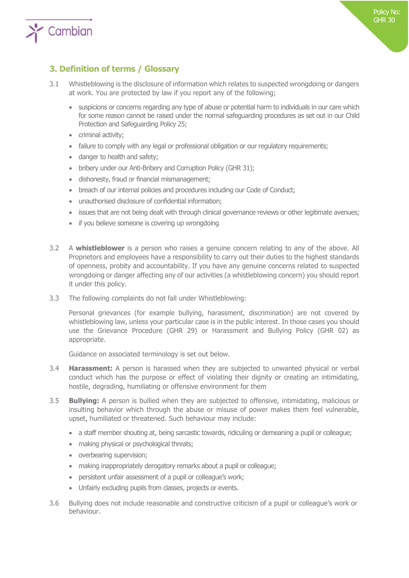

## **3. Definition of terms / Glossary**

- 3.1 Whistleblowing is the disclosure of information which relates to suspected wrongdoing or dangers at work. You are protected by law if you report any of the following;
	- suspicions or concerns regarding any type of abuse or potential harm to individuals in our care which for some reason cannot be raised under the normal safeguarding procedures as set out in our Child Protection and Safeguarding Policy 25;
	- criminal activity;
	- failure to comply with any legal or professional obligation or our regulatory requirements;
	- danger to health and safety;
	- bribery under our Anti-Bribery and Corruption Policy (GHR 31);
	- dishonesty, fraud or financial mismanagement;
	- breach of our internal policies and procedures including our Code of Conduct;
	- unauthorised disclosure of confidential information;
	- issues that are not being dealt with through clinical governance reviews or other legitimate avenues;
	- if you believe someone is covering up wrongdoing
- 3.2 A **whistleblower** is a person who raises a genuine concern relating to any of the above. All Proprietors and employees have a responsibility to carry out their duties to the highest standards of openness, probity and accountability. If you have any genuine concerns related to suspected wrongdoing or danger affecting any of our activities (a whistleblowing concern) you should report it under this policy.
- 3.3 The following complaints do not fall under Whistleblowing:

Personal grievances (for example bullying, harassment, discrimination) are not covered by whistleblowing law, unless your particular case is in the public interest. In those cases you should use the Grievance Procedure (GHR 29) or Harassment and Bullying Policy (GHR 02) as appropriate.

Guidance on associated terminology is set out below.

- 3.4 **Harassment:** A person is harassed when they are subjected to unwanted physical or verbal conduct which has the purpose or effect of violating their dignity or creating an intimidating, hostile, degrading, humiliating or offensive environment for them
- 3.5 **Bullying:** A person is bullied when they are subjected to offensive, intimidating, malicious or insulting behavior which through the abuse or misuse of power makes them feel vulnerable, upset, humiliated or threatened. Such behaviour may include:
	- a staff member shouting at, being sarcastic towards, ridiculing or demeaning a pupil or colleague;
	- making physical or psychological threats;
	- overbearing supervision;
	- making inappropriately derogatory remarks about a pupil or colleague;
	- persistent unfair assessment of a pupil or colleague's work;
	- Unfairly excluding pupils from classes, projects or events.
- 3.6 Bullying does not include reasonable and constructive criticism of a pupil or colleague's work or behaviour.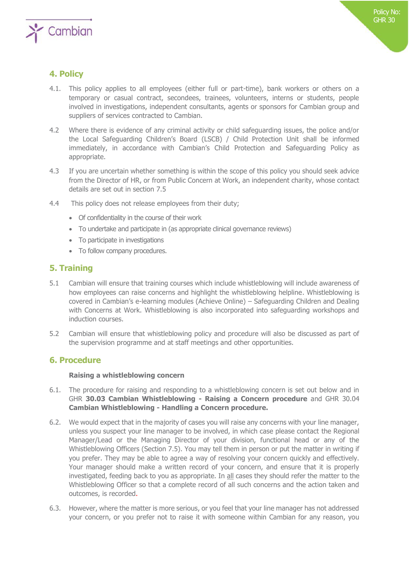

## **4. Policy**

- 4.1. This policy applies to all employees (either full or part-time), bank workers or others on a temporary or casual contract, secondees, trainees, volunteers, interns or students, people involved in investigations, independent consultants, agents or sponsors for Cambian group and suppliers of services contracted to Cambian.
- 4.2 Where there is evidence of any criminal activity or child safeguarding issues, the police and/or the Local Safeguarding Children's Board (LSCB) / Child Protection Unit shall be informed immediately, in accordance with Cambian's Child Protection and Safeguarding Policy as appropriate.
- 4.3 If you are uncertain whether something is within the scope of this policy you should seek advice from the Director of HR, or from Public Concern at Work, an independent charity, whose contact details are set out in section 7.5
- 4.4 This policy does not release employees from their duty;
	- Of confidentiality in the course of their work
	- To undertake and participate in (as appropriate clinical governance reviews)
	- To participate in investigations
	- To follow company procedures.

## **5. Training**

- 5.1 Cambian will ensure that training courses which include whistleblowing will include awareness of how employees can raise concerns and highlight the whistleblowing helpline. Whistleblowing is covered in Cambian's e-learning modules (Achieve Online) – Safeguarding Children and Dealing with Concerns at Work. Whistleblowing is also incorporated into safeguarding workshops and induction courses.
- 5.2 Cambian will ensure that whistleblowing policy and procedure will also be discussed as part of the supervision programme and at staff meetings and other opportunities.

## **6. Procedure**

#### **Raising a whistleblowing concern**

- 6.1. The procedure for raising and responding to a whistleblowing concern is set out below and in GHR **30.03 Cambian Whistleblowing - Raising a Concern procedure** and GHR 30.04 **Cambian Whistleblowing - Handling a Concern procedure.**
- 6.2. We would expect that in the majority of cases you will raise any concerns with your line manager, unless you suspect your line manager to be involved, in which case please contact the Regional Manager/Lead or the Managing Director of your division, functional head or any of the Whistleblowing Officers (Section 7.5). You may tell them in person or put the matter in writing if you prefer. They may be able to agree a way of resolving your concern quickly and effectively. Your manager should make a written record of your concern, and ensure that it is properly investigated, feeding back to you as appropriate. In all cases they should refer the matter to the Whistleblowing Officer so that a complete record of all such concerns and the action taken and outcomes, is recorded.
- 6.3. However, where the matter is more serious, or you feel that your line manager has not addressed your concern, or you prefer not to raise it with someone within Cambian for any reason, you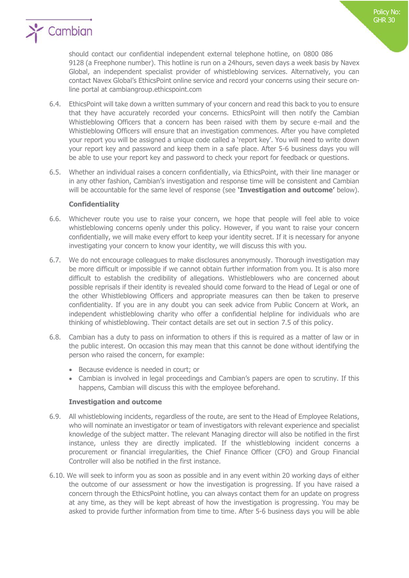

- 6.4. EthicsPoint will take down a written summary of your concern and read this back to you to ensure that they have accurately recorded your concerns. EthicsPoint will then notify the Cambian Whistleblowing Officers that a concern has been raised with them by secure e-mail and the Whistleblowing Officers will ensure that an investigation commences. After you have completed your report you will be assigned a unique code called a 'report key'. You will need to write down your report key and password and keep them in a safe place. After 5-6 business days you will be able to use your report key and password to check your report for feedback or questions.
- 6.5. Whether an individual raises a concern confidentially, via EthicsPoint, with their line manager or in any other fashion, Cambian's investigation and response time will be consistent and Cambian will be accountable for the same level of response (see **'Investigation and outcome'** below).

#### **Confidentiality**

- 6.6. Whichever route you use to raise your concern, we hope that people will feel able to voice whistleblowing concerns openly under this policy. However, if you want to raise your concern confidentially, we will make every effort to keep your identity secret. If it is necessary for anyone investigating your concern to know your identity, we will discuss this with you.
- 6.7. We do not encourage colleagues to make disclosures anonymously. Thorough investigation may be more difficult or impossible if we cannot obtain further information from you. It is also more difficult to establish the credibility of allegations. Whistleblowers who are concerned about possible reprisals if their identity is revealed should come forward to the Head of Legal or one of the other Whistleblowing Officers and appropriate measures can then be taken to preserve confidentiality. If you are in any doubt you can seek advice from Public Concern at Work, an independent whistleblowing charity who offer a confidential helpline for individuals who are thinking of whistleblowing. Their contact details are set out in section 7.5 of this policy.
- 6.8. Cambian has a duty to pass on information to others if this is required as a matter of law or in the public interest. On occasion this may mean that this cannot be done without identifying the person who raised the concern, for example:
	- Because evidence is needed in court; or
	- Cambian is involved in legal proceedings and Cambian's papers are open to scrutiny. If this happens, Cambian will discuss this with the employee beforehand.

#### **Investigation and outcome**

- 6.9. All whistleblowing incidents, regardless of the route, are sent to the Head of Employee Relations, who will nominate an investigator or team of investigators with relevant experience and specialist knowledge of the subject matter. The relevant Managing director will also be notified in the first instance, unless they are directly implicated. If the whistleblowing incident concerns a procurement or financial irregularities, the Chief Finance Officer (CFO) and Group Financial Controller will also be notified in the first instance.
- 6.10. We will seek to inform you as soon as possible and in any event within 20 working days of either the outcome of our assessment or how the investigation is progressing. If you have raised a concern through the EthicsPoint hotline, you can always contact them for an update on progress at any time, as they will be kept abreast of how the investigation is progressing. You may be asked to provide further information from time to time. After 5-6 business days you will be able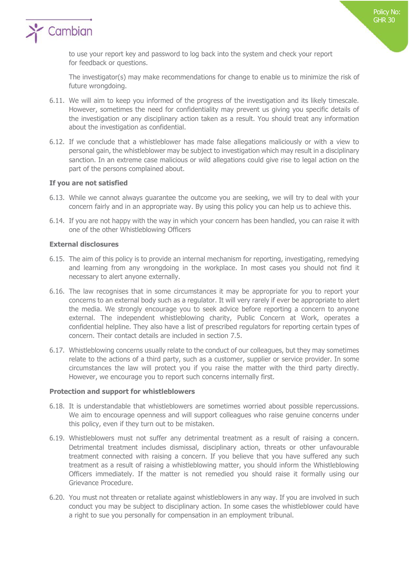

to use your report key and password to log back into the system and check your report for feedback or questions.

The investigator(s) may make recommendations for change to enable us to minimize the risk of future wrongdoing.

- 6.11. We will aim to keep you informed of the progress of the investigation and its likely timescale. However, sometimes the need for confidentiality may prevent us giving you specific details of the investigation or any disciplinary action taken as a result. You should treat any information about the investigation as confidential.
- 6.12. If we conclude that a whistleblower has made false allegations maliciously or with a view to personal gain, the whistleblower may be subject to investigation which may result in a disciplinary sanction. In an extreme case malicious or wild allegations could give rise to legal action on the part of the persons complained about.

#### **If you are not satisfied**

- 6.13. While we cannot always guarantee the outcome you are seeking, we will try to deal with your concern fairly and in an appropriate way. By using this policy you can help us to achieve this.
- 6.14. If you are not happy with the way in which your concern has been handled, you can raise it with one of the other Whistleblowing Officers

#### **External disclosures**

- 6.15. The aim of this policy is to provide an internal mechanism for reporting, investigating, remedying and learning from any wrongdoing in the workplace. In most cases you should not find it necessary to alert anyone externally.
- 6.16. The law recognises that in some circumstances it may be appropriate for you to report your concerns to an external body such as a regulator. It will very rarely if ever be appropriate to alert the media. We strongly encourage you to seek advice before reporting a concern to anyone external. The independent whistleblowing charity, Public Concern at Work, operates a confidential helpline. They also have a list of prescribed regulators for reporting certain types of concern. Their contact details are included in section 7.5.
- 6.17. Whistleblowing concerns usually relate to the conduct of our colleagues, but they may sometimes relate to the actions of a third party, such as a customer, supplier or service provider. In some circumstances the law will protect you if you raise the matter with the third party directly. However, we encourage you to report such concerns internally first.

#### **Protection and support for whistleblowers**

- 6.18. It is understandable that whistleblowers are sometimes worried about possible repercussions. We aim to encourage openness and will support colleagues who raise genuine concerns under this policy, even if they turn out to be mistaken.
- 6.19. Whistleblowers must not suffer any detrimental treatment as a result of raising a concern. Detrimental treatment includes dismissal, disciplinary action, threats or other unfavourable treatment connected with raising a concern. If you believe that you have suffered any such treatment as a result of raising a whistleblowing matter, you should inform the Whistleblowing Officers immediately. If the matter is not remedied you should raise it formally using our Grievance Procedure.
- 6.20. You must not threaten or retaliate against whistleblowers in any way. If you are involved in such conduct you may be subject to disciplinary action. In some cases the whistleblower could have a right to sue you personally for compensation in an employment tribunal.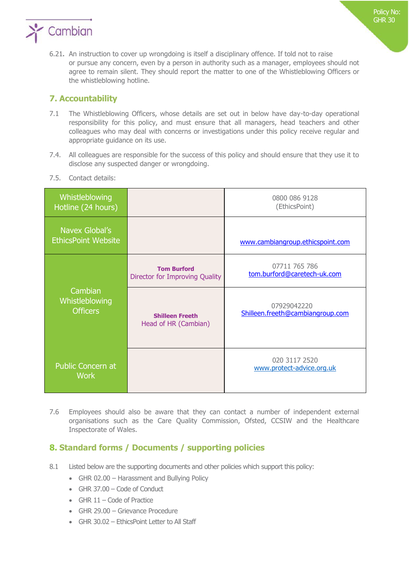

6.21**.** An instruction to cover up wrongdoing is itself a disciplinary offence. If told not to raise or pursue any concern, even by a person in authority such as a manager, employees should not agree to remain silent. They should report the matter to one of the Whistleblowing Officers or the whistleblowing hotline.

## **7. Accountability**

- 7.1 The Whistleblowing Officers, whose details are set out in below have day-to-day operational responsibility for this policy, and must ensure that all managers, head teachers and other colleagues who may deal with concerns or investigations under this policy receive regular and appropriate guidance on its use.
- 7.4. All colleagues are responsible for the success of this policy and should ensure that they use it to disclose any suspected danger or wrongdoing.

| Whistleblowing<br>Hotline (24 hours)         |                                                      | 0800 086 9128<br>(EthicsPoint)                  |
|----------------------------------------------|------------------------------------------------------|-------------------------------------------------|
| Navex Global's<br><b>EthicsPoint Website</b> |                                                      | www.cambiangroup.ethicspoint.com                |
| Cambian<br>Whistleblowing<br><b>Officers</b> | <b>Tom Burford</b><br>Director for Improving Quality | 07711 765 786<br>tom.burford@caretech-uk.com    |
|                                              | <b>Shilleen Freeth</b><br>Head of HR (Cambian)       | 07929042220<br>Shilleen.freeth@cambiangroup.com |
| <b>Public Concern at</b><br><b>Work</b>      |                                                      | 020 3117 2520<br>www.protect-advice.org.uk      |

7.5. Contact details:

7.6 Employees should also be aware that they can contact a number of independent external organisations such as the Care Quality Commission, Ofsted, CCSIW and the Healthcare Inspectorate of Wales.

## **8. Standard forms / Documents / supporting policies**

- 8.1 Listed below are the supporting documents and other policies which support this policy:
	- GHR 02.00 Harassment and Bullying Policy
	- GHR 37.00 Code of Conduct
	- GHR  $11$  Code of Practice
	- GHR 29.00 Grievance Procedure
	- GHR 30.02 EthicsPoint Letter to All Staff